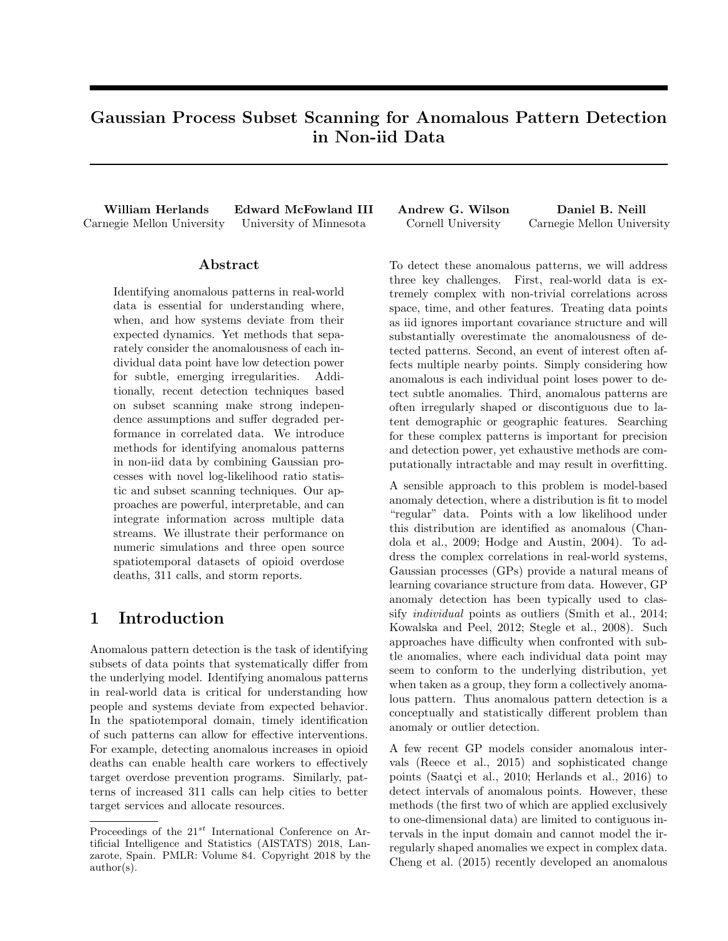# Gaussian Process Subset Scanning for Anomalous Pattern Detection in Non-iid Data

William Herlands Edward McFowland III Andrew G. Wilson Daniel B. Neill Carnegie Mellon University University of Minnesota Cornell University Carnegie Mellon University

## Abstract

Identifying anomalous patterns in real-world data is essential for understanding where, when, and how systems deviate from their expected dynamics. Yet methods that separately consider the anomalousness of each individual data point have low detection power for subtle, emerging irregularities. Additionally, recent detection techniques based on subset scanning make strong independence assumptions and suffer degraded performance in correlated data. We introduce methods for identifying anomalous patterns in non-iid data by combining Gaussian processes with novel log-likelihood ratio statistic and subset scanning techniques. Our approaches are powerful, interpretable, and can integrate information across multiple data streams. We illustrate their performance on numeric simulations and three open source spatiotemporal datasets of opioid overdose deaths, 311 calls, and storm reports.

# 1 Introduction

Anomalous pattern detection is the task of identifying subsets of data points that systematically differ from the underlying model. Identifying anomalous patterns in real-world data is critical for understanding how people and systems deviate from expected behavior. In the spatiotemporal domain, timely identification of such patterns can allow for effective interventions. For example, detecting anomalous increases in opioid deaths can enable health care workers to effectively target overdose prevention programs. Similarly, patterns of increased 311 calls can help cities to better target services and allocate resources.

To detect these anomalous patterns, we will address three key challenges. First, real-world data is extremely complex with non-trivial correlations across space, time, and other features. Treating data points as iid ignores important covariance structure and will substantially overestimate the anomalousness of detected patterns. Second, an event of interest often affects multiple nearby points. Simply considering how anomalous is each individual point loses power to detect subtle anomalies. Third, anomalous patterns are often irregularly shaped or discontiguous due to latent demographic or geographic features. Searching for these complex patterns is important for precision and detection power, yet exhaustive methods are computationally intractable and may result in overfitting.

A sensible approach to this problem is model-based anomaly detection, where a distribution is fit to model "regular" data. Points with a low likelihood under this distribution are identified as anomalous (Chandola et al., 2009; Hodge and Austin, 2004). To address the complex correlations in real-world systems, Gaussian processes (GPs) provide a natural means of learning covariance structure from data. However, GP anomaly detection has been typically used to classify individual points as outliers (Smith et al., 2014; Kowalska and Peel, 2012; Stegle et al., 2008). Such approaches have difficulty when confronted with subtle anomalies, where each individual data point may seem to conform to the underlying distribution, yet when taken as a group, they form a collectively anomalous pattern. Thus anomalous pattern detection is a conceptually and statistically different problem than anomaly or outlier detection.

A few recent GP models consider anomalous intervals (Reece et al., 2015) and sophisticated change points (Saatçi et al., 2010; Herlands et al., 2016) to detect intervals of anomalous points. However, these methods (the first two of which are applied exclusively to one-dimensional data) are limited to contiguous intervals in the input domain and cannot model the irregularly shaped anomalies we expect in complex data. Cheng et al. (2015) recently developed an anomalous

Proceedings of the  $21^{st}$  International Conference on Artificial Intelligence and Statistics (AISTATS) 2018, Lanzarote, Spain. PMLR: Volume 84. Copyright 2018 by the author(s).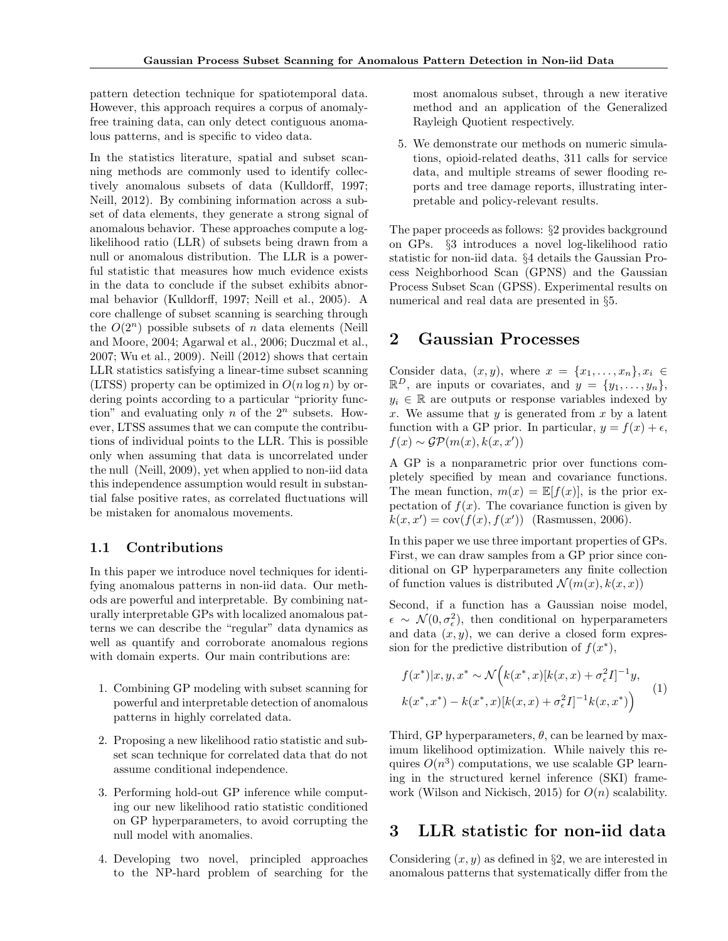pattern detection technique for spatiotemporal data. However, this approach requires a corpus of anomalyfree training data, can only detect contiguous anomalous patterns, and is specific to video data.

In the statistics literature, spatial and subset scanning methods are commonly used to identify collectively anomalous subsets of data (Kulldorff, 1997; Neill, 2012). By combining information across a subset of data elements, they generate a strong signal of anomalous behavior. These approaches compute a loglikelihood ratio (LLR) of subsets being drawn from a null or anomalous distribution. The LLR is a powerful statistic that measures how much evidence exists in the data to conclude if the subset exhibits abnormal behavior (Kulldorff, 1997; Neill et al., 2005). A core challenge of subset scanning is searching through the  $O(2^n)$  possible subsets of n data elements (Neill and Moore, 2004; Agarwal et al., 2006; Duczmal et al., 2007; Wu et al., 2009). Neill (2012) shows that certain LLR statistics satisfying a linear-time subset scanning (LTSS) property can be optimized in  $O(n \log n)$  by ordering points according to a particular "priority function" and evaluating only n of the  $2^n$  subsets. However, LTSS assumes that we can compute the contributions of individual points to the LLR. This is possible only when assuming that data is uncorrelated under the null (Neill, 2009), yet when applied to non-iid data this independence assumption would result in substantial false positive rates, as correlated fluctuations will be mistaken for anomalous movements.

## 1.1 Contributions

In this paper we introduce novel techniques for identifying anomalous patterns in non-iid data. Our methods are powerful and interpretable. By combining naturally interpretable GPs with localized anomalous patterns we can describe the "regular" data dynamics as well as quantify and corroborate anomalous regions with domain experts. Our main contributions are:

- 1. Combining GP modeling with subset scanning for powerful and interpretable detection of anomalous patterns in highly correlated data.
- 2. Proposing a new likelihood ratio statistic and subset scan technique for correlated data that do not assume conditional independence.
- 3. Performing hold-out GP inference while computing our new likelihood ratio statistic conditioned on GP hyperparameters, to avoid corrupting the null model with anomalies.
- 4. Developing two novel, principled approaches to the NP-hard problem of searching for the

most anomalous subset, through a new iterative method and an application of the Generalized Rayleigh Quotient respectively.

5. We demonstrate our methods on numeric simulations, opioid-related deaths, 311 calls for service data, and multiple streams of sewer flooding reports and tree damage reports, illustrating interpretable and policy-relevant results.

The paper proceeds as follows: §2 provides background on GPs. §3 introduces a novel log-likelihood ratio statistic for non-iid data. §4 details the Gaussian Process Neighborhood Scan (GPNS) and the Gaussian Process Subset Scan (GPSS). Experimental results on numerical and real data are presented in §5.

# 2 Gaussian Processes

Consider data,  $(x, y)$ , where  $x = \{x_1, \ldots, x_n\}, x_i \in$  $\mathbb{R}^D$ , are inputs or covariates, and  $y = \{y_1, \ldots, y_n\},\$  $y_i \in \mathbb{R}$  are outputs or response variables indexed by x. We assume that  $y$  is generated from  $x$  by a latent function with a GP prior. In particular,  $y = f(x) + \epsilon$ ,  $f(x) \sim \mathcal{GP}(m(x), k(x, x'))$ 

A GP is a nonparametric prior over functions completely specified by mean and covariance functions. The mean function,  $m(x) = \mathbb{E}[f(x)]$ , is the prior expectation of  $f(x)$ . The covariance function is given by  $k(x, x') = \text{cov}(f(x), f(x'))$  (Rasmussen, 2006).

In this paper we use three important properties of GPs. First, we can draw samples from a GP prior since conditional on GP hyperparameters any finite collection of function values is distributed  $\mathcal{N}(m(x), k(x, x))$ 

Second, if a function has a Gaussian noise model,  $\epsilon \sim \mathcal{N}(0, \sigma_{\epsilon}^2)$ , then conditional on hyperparameters and data  $(x, y)$ , we can derive a closed form expression for the predictive distribution of  $f(x^*),$ 

$$
f(x^*)|x, y, x^* \sim \mathcal{N}\Big(k(x^*, x)[k(x, x) + \sigma_\epsilon^2 I]^{-1} y,k(x^*, x^*) - k(x^*, x)[k(x, x) + \sigma_\epsilon^2 I]^{-1} k(x, x^*)\Big) \tag{1}
$$

Third, GP hyperparameters,  $\theta$ , can be learned by maximum likelihood optimization. While naively this requires  $O(n^3)$  computations, we use scalable GP learning in the structured kernel inference (SKI) framework (Wilson and Nickisch, 2015) for  $O(n)$  scalability.

# 3 LLR statistic for non-iid data

Considering  $(x, y)$  as defined in §2, we are interested in anomalous patterns that systematically differ from the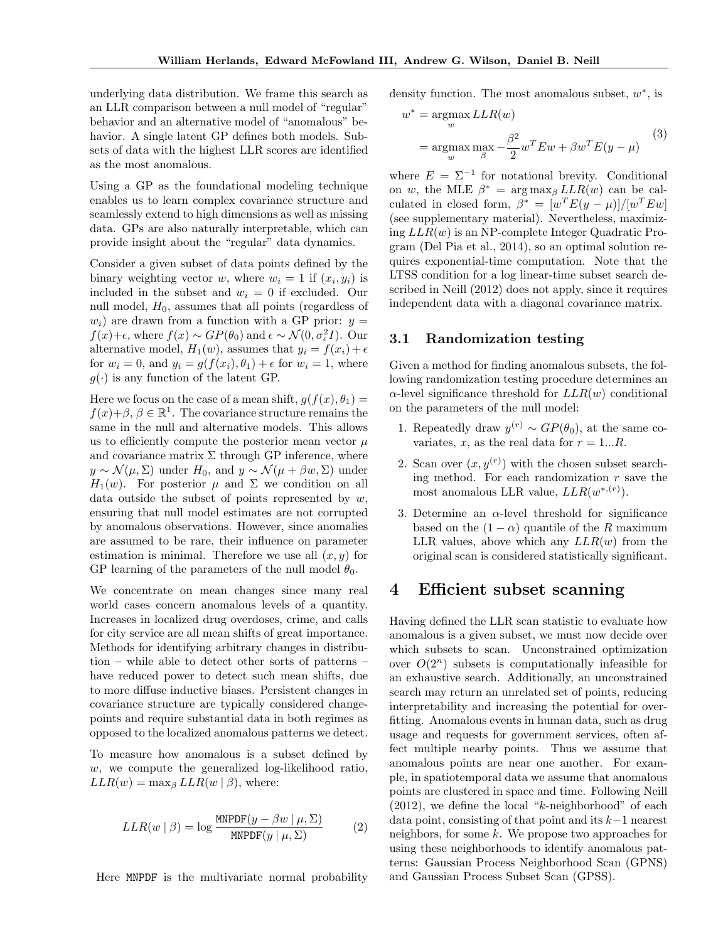underlying data distribution. We frame this search as an LLR comparison between a null model of "regular" behavior and an alternative model of "anomalous" behavior. A single latent GP defines both models. Subsets of data with the highest LLR scores are identified as the most anomalous.

Using a GP as the foundational modeling technique enables us to learn complex covariance structure and seamlessly extend to high dimensions as well as missing data. GPs are also naturally interpretable, which can provide insight about the "regular" data dynamics.

Consider a given subset of data points defined by the binary weighting vector w, where  $w_i = 1$  if  $(x_i, y_i)$  is included in the subset and  $w_i = 0$  if excluded. Our null model,  $H_0$ , assumes that all points (regardless of  $w_i$ ) are drawn from a function with a GP prior:  $y =$  $f(x)+\epsilon$ , where  $f(x) \sim GP(\theta_0)$  and  $\epsilon \sim \mathcal{N}(0, \sigma_{\epsilon}^2 I)$ . Our alternative model,  $H_1(w)$ , assumes that  $y_i = f(x_i) + \epsilon$ for  $w_i = 0$ , and  $y_i = g(f(x_i), \theta_1) + \epsilon$  for  $w_i = 1$ , where  $g(\cdot)$  is any function of the latent GP.

Here we focus on the case of a mean shift,  $g(f(x), \theta_1) =$  $f(x)+\beta, \beta \in \mathbb{R}^1$ . The covariance structure remains the same in the null and alternative models. This allows us to efficiently compute the posterior mean vector  $\mu$ and covariance matrix  $\Sigma$  through GP inference, where  $y \sim \mathcal{N}(\mu, \Sigma)$  under  $H_0$ , and  $y \sim \mathcal{N}(\mu + \beta w, \Sigma)$  under  $H_1(w)$ . For posterior  $\mu$  and  $\Sigma$  we condition on all data outside the subset of points represented by  $w$ , ensuring that null model estimates are not corrupted by anomalous observations. However, since anomalies are assumed to be rare, their influence on parameter estimation is minimal. Therefore we use all  $(x, y)$  for GP learning of the parameters of the null model  $\theta_0$ .

We concentrate on mean changes since many real world cases concern anomalous levels of a quantity. Increases in localized drug overdoses, crime, and calls for city service are all mean shifts of great importance. Methods for identifying arbitrary changes in distribution – while able to detect other sorts of patterns – have reduced power to detect such mean shifts, due to more diffuse inductive biases. Persistent changes in covariance structure are typically considered changepoints and require substantial data in both regimes as opposed to the localized anomalous patterns we detect.

To measure how anomalous is a subset defined by w, we compute the generalized log-likelihood ratio,  $LLR(w) = \max_{\beta} LLR(w | \beta)$ , where:

$$
LLR(w | \beta) = \log \frac{\text{MNPDF}(y - \beta w | \mu, \Sigma)}{\text{MNPDF}(y | \mu, \Sigma)}
$$
(2)

Here MNPDF is the multivariate normal probability

density function. The most anomalous subset,  $w^*$ , is

$$
w^* = \underset{w}{\operatorname{argmax}} LLR(w)
$$
  
= 
$$
\underset{w}{\operatorname{argmax}} \max_{\beta} -\frac{\beta^2}{2} w^T E w + \beta w^T E(y - \mu)
$$
 (3)

where  $E = \Sigma^{-1}$  for notational brevity. Conditional on w, the MLE  $\beta^* = \arg \max_{\beta} LLR(w)$  can be calculated in closed form,  $\beta^* = [w^T E(y - \mu)]/[w^T E w]$ (see supplementary material). Nevertheless, maximizing  $LLR(w)$  is an NP-complete Integer Quadratic Program (Del Pia et al., 2014), so an optimal solution requires exponential-time computation. Note that the LTSS condition for a log linear-time subset search described in Neill (2012) does not apply, since it requires independent data with a diagonal covariance matrix.

### 3.1 Randomization testing

Given a method for finding anomalous subsets, the following randomization testing procedure determines an  $\alpha$ -level significance threshold for  $LLR(w)$  conditional on the parameters of the null model:

- 1. Repeatedly draw  $y^{(r)} \sim GP(\theta_0)$ , at the same covariates, x, as the real data for  $r = 1...R$ .
- 2. Scan over  $(x, y^{(r)})$  with the chosen subset searching method. For each randomization  $r$  save the most anomalous LLR value,  $LLR(w^{*,(r)})$ .
- 3. Determine an  $\alpha$ -level threshold for significance based on the  $(1 - \alpha)$  quantile of the R maximum LLR values, above which any  $LLR(w)$  from the original scan is considered statistically significant.

## 4 Efficient subset scanning

Having defined the LLR scan statistic to evaluate how anomalous is a given subset, we must now decide over which subsets to scan. Unconstrained optimization over  $O(2^n)$  subsets is computationally infeasible for an exhaustive search. Additionally, an unconstrained search may return an unrelated set of points, reducing interpretability and increasing the potential for overfitting. Anomalous events in human data, such as drug usage and requests for government services, often affect multiple nearby points. Thus we assume that anomalous points are near one another. For example, in spatiotemporal data we assume that anomalous points are clustered in space and time. Following Neill  $(2012)$ , we define the local "k-neighborhood" of each data point, consisting of that point and its k−1 nearest neighbors, for some k. We propose two approaches for using these neighborhoods to identify anomalous patterns: Gaussian Process Neighborhood Scan (GPNS) and Gaussian Process Subset Scan (GPSS).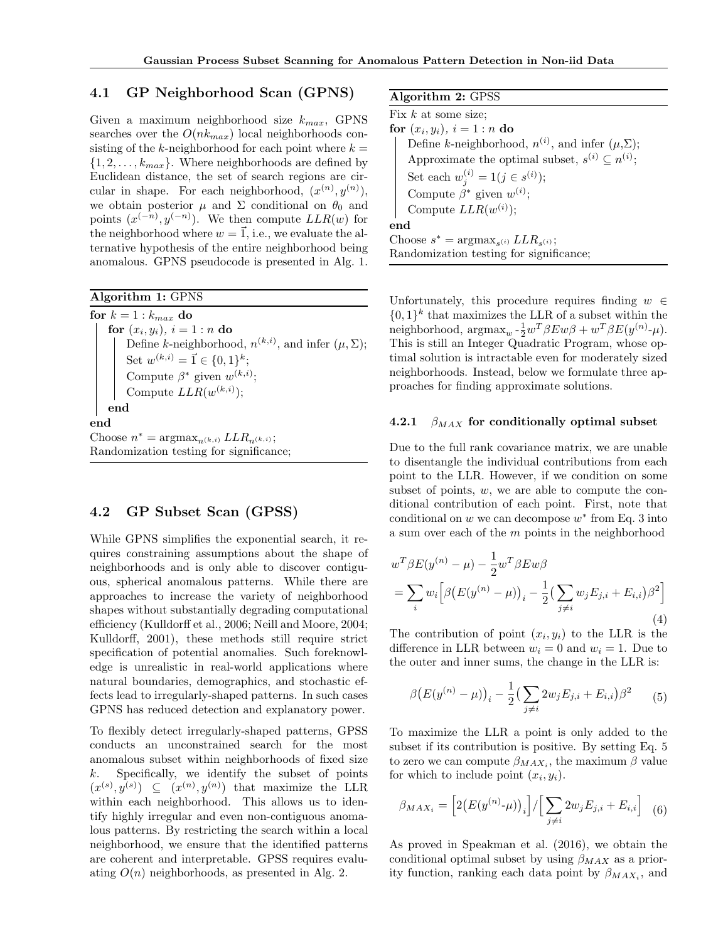## 4.1 GP Neighborhood Scan (GPNS)

Given a maximum neighborhood size  $k_{max}$ , GPNS searches over the  $O(nk_{max})$  local neighborhoods consisting of the k-neighborhood for each point where  $k =$  $\{1, 2, \ldots, k_{max}\}.$  Where neighborhoods are defined by Euclidean distance, the set of search regions are circular in shape. For each neighborhood,  $(x^{(n)}, y^{(n)})$ , we obtain posterior  $\mu$  and  $\Sigma$  conditional on  $\theta_0$  and points  $(x^{(-n)}, y^{(-n)})$ . We then compute  $LLR(w)$  for the neighborhood where  $w = \vec{1}$ , i.e., we evaluate the alternative hypothesis of the entire neighborhood being anomalous. GPNS pseudocode is presented in Alg. 1.

Algorithm 1: GPNS

for  $k = 1 : k_{max}$  do for  $(x_i, y_i)$ ,  $i = 1:n$  do Define k-neighborhood,  $n^{(k,i)}$ , and infer  $(\mu, \Sigma)$ ; Set  $w^{(k,i)} = \vec{1} \in \{0,1\}^k$ ; Compute  $\beta^*$  given  $w^{(k,i)}$ ; Compute  $LLR(w^{(k,i)})$ ; end end Choose  $n^* = \operatorname{argmax}_{n^{(k,i)}} LLR_{n^{(k,i)}};$ Randomization testing for significance;

## 4.2 GP Subset Scan (GPSS)

While GPNS simplifies the exponential search, it requires constraining assumptions about the shape of neighborhoods and is only able to discover contiguous, spherical anomalous patterns. While there are approaches to increase the variety of neighborhood shapes without substantially degrading computational efficiency (Kulldorff et al., 2006; Neill and Moore, 2004; Kulldorff, 2001), these methods still require strict specification of potential anomalies. Such foreknowledge is unrealistic in real-world applications where natural boundaries, demographics, and stochastic effects lead to irregularly-shaped patterns. In such cases GPNS has reduced detection and explanatory power.

To flexibly detect irregularly-shaped patterns, GPSS conducts an unconstrained search for the most anomalous subset within neighborhoods of fixed size  $k$ . Specifically, we identify the subset of points  $(x^{(s)}, y^{(s)}) \subseteq (x^{(n)}, y^{(n)})$  that maximize the LLR within each neighborhood. This allows us to identify highly irregular and even non-contiguous anomalous patterns. By restricting the search within a local neighborhood, we ensure that the identified patterns are coherent and interpretable. GPSS requires evaluating  $O(n)$  neighborhoods, as presented in Alg. 2.

Algorithm 2: GPSS

Fix  $k$  at some size; for  $(x_i, y_i)$ ,  $i = 1:n$  do Define k-neighborhood,  $n^{(i)}$ , and infer  $(\mu, \Sigma)$ ; Approximate the optimal subset,  $s^{(i)} \subseteq n^{(i)}$ ; Set each  $w_j^{(i)} = 1 (j \in s^{(i)});$ Compute  $\beta^*$  given  $w^{(i)}$ ; Compute  $LLR(w^{(i)})$ ; end Choose  $s^* = \text{argmax}_{s^{(i)}} LLR_{s^{(i)}};$ Randomization testing for significance;

Unfortunately, this procedure requires finding  $w \in$  $\{0,1\}^k$  that maximizes the LLR of a subset within the neighborhood,  $\operatorname{argmax}_{w} \frac{1}{2} w^T \beta E w \beta + w^T \beta E (y^{(n)} - \mu).$ This is still an Integer Quadratic Program, whose optimal solution is intractable even for moderately sized neighborhoods. Instead, below we formulate three approaches for finding approximate solutions.

#### 4.2.1  $\beta_{MAX}$  for conditionally optimal subset

Due to the full rank covariance matrix, we are unable to disentangle the individual contributions from each point to the LLR. However, if we condition on some subset of points,  $w$ , we are able to compute the conditional contribution of each point. First, note that conditional on  $w$  we can decompose  $w^*$  from Eq. 3 into a sum over each of the m points in the neighborhood

$$
w^{T} \beta E(y^{(n)} - \mu) - \frac{1}{2} w^{T} \beta E w \beta
$$
  
= 
$$
\sum_{i} w_{i} \left[ \beta \left( E(y^{(n)} - \mu) \right)_{i} - \frac{1}{2} \left( \sum_{j \neq i} w_{j} E_{j,i} + E_{i,i} \right) \beta^{2} \right]
$$
  
(4)

The contribution of point  $(x_i, y_i)$  to the LLR is the difference in LLR between  $w_i = 0$  and  $w_i = 1$ . Due to the outer and inner sums, the change in the LLR is:

$$
\beta \big( E(y^{(n)} - \mu) \big)_i - \frac{1}{2} \big( \sum_{j \neq i} 2w_j E_{j,i} + E_{i,i} \big) \beta^2 \qquad (5)
$$

To maximize the LLR a point is only added to the subset if its contribution is positive. By setting Eq. 5 to zero we can compute  $\beta_{MAX_i}$ , the maximum  $\beta$  value for which to include point  $(x_i, y_i)$ .

$$
\beta_{MAX_i} = \left[2\left(E(y^{(n)}\cdot \mu)\right)_i\right] / \left[\sum_{j \neq i} 2w_j E_{j,i} + E_{i,i}\right] \tag{6}
$$

As proved in Speakman et al. (2016), we obtain the conditional optimal subset by using  $\beta_{MAX}$  as a priority function, ranking each data point by  $\beta_{MAX_i}$ , and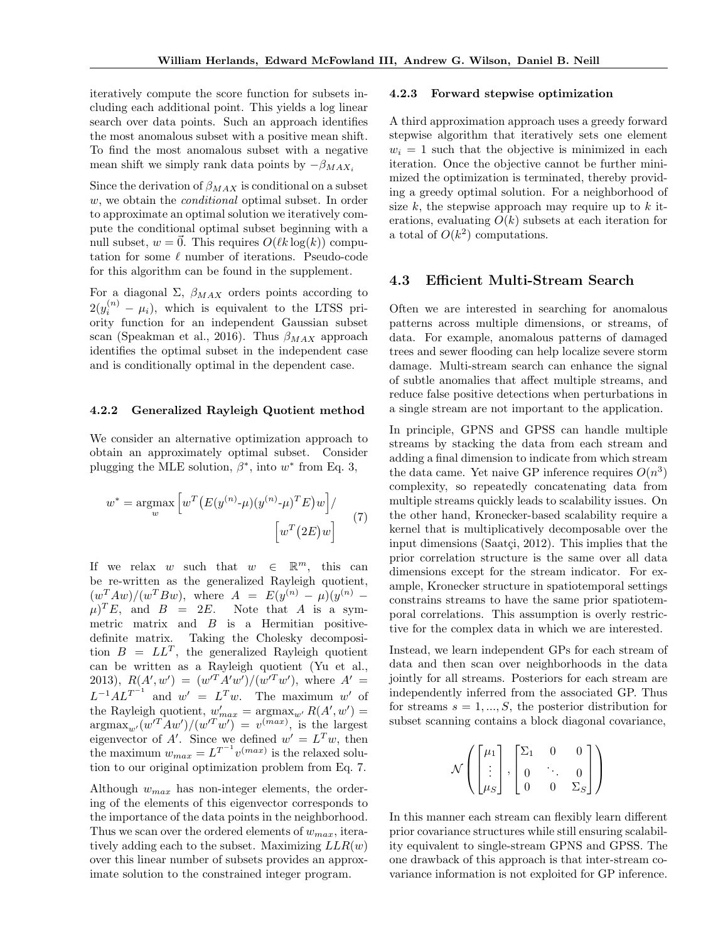iteratively compute the score function for subsets including each additional point. This yields a log linear search over data points. Such an approach identifies the most anomalous subset with a positive mean shift. To find the most anomalous subset with a negative mean shift we simply rank data points by  $-\beta_{MAX_i}$ 

Since the derivation of  $\beta_{MAX}$  is conditional on a subset w, we obtain the *conditional* optimal subset. In order to approximate an optimal solution we iteratively compute the conditional optimal subset beginning with a null subset,  $w = \vec{0}$ . This requires  $O(\ell k \log(k))$  computation for some  $\ell$  number of iterations. Pseudo-code for this algorithm can be found in the supplement.

For a diagonal  $\Sigma$ ,  $\beta_{MAX}$  orders points according to  $2(y_i^{(n)} - \mu_i)$ , which is equivalent to the LTSS priority function for an independent Gaussian subset scan (Speakman et al., 2016). Thus  $\beta_{MAX}$  approach identifies the optimal subset in the independent case and is conditionally optimal in the dependent case.

#### 4.2.2 Generalized Rayleigh Quotient method

We consider an alternative optimization approach to obtain an approximately optimal subset. Consider plugging the MLE solution,  $\beta^*$ , into  $w^*$  from Eq. 3,

$$
w^* = \underset{w}{\operatorname{argmax}} \left[ w^T \left( E(y^{(n)} - \mu)(y^{(n)} - \mu)^T E \right) w \right] / \tag{7}
$$

$$
\left[ w^T (2E) w \right]
$$

If we relax w such that  $w \in \mathbb{R}^m$ , this can be re-written as the generalized Rayleigh quotient,  $(w^T A w)/(w^T B w)$ , where  $A = E(y^{(n)} - \mu)(y^{(n)} (\mu)^T E$ , and  $B = 2E$ . Note that A is a symmetric matrix and  $B$  is a Hermitian positivedefinite matrix. Taking the Cholesky decomposition  $B = LL^T$ , the generalized Rayleigh quotient can be written as a Rayleigh quotient (Yu et al., 2013),  $R(A', w') = (w'^T A' w') / (w'^T w')$ , where  $A' =$  $L^{-1}AL^{T^{-1}}$  and  $w' = L^Tw$ . The maximum w' of the Rayleigh quotient,  $w'_{max} = \text{argmax}_{w'} R(A', w') =$  $\arg \max_{w'} (w'^T A w') / (w'^T w') = v^{(max)}$ , is the largest eigenvector of A'. Since we defined  $w' = L^T w$ , then the maximum  $w_{max} = L^{T^{-1}} v^{(max)}$  is the relaxed solution to our original optimization problem from Eq. 7.

Although  $w_{max}$  has non-integer elements, the ordering of the elements of this eigenvector corresponds to the importance of the data points in the neighborhood. Thus we scan over the ordered elements of  $w_{max}$ , iteratively adding each to the subset. Maximizing  $LLR(w)$ over this linear number of subsets provides an approximate solution to the constrained integer program.

#### 4.2.3 Forward stepwise optimization

A third approximation approach uses a greedy forward stepwise algorithm that iteratively sets one element  $w_i = 1$  such that the objective is minimized in each iteration. Once the objective cannot be further minimized the optimization is terminated, thereby providing a greedy optimal solution. For a neighborhood of size k, the stepwise approach may require up to  $k$  iterations, evaluating  $O(k)$  subsets at each iteration for a total of  $O(k^2)$  computations.

## 4.3 Efficient Multi-Stream Search

Often we are interested in searching for anomalous patterns across multiple dimensions, or streams, of data. For example, anomalous patterns of damaged trees and sewer flooding can help localize severe storm damage. Multi-stream search can enhance the signal of subtle anomalies that affect multiple streams, and reduce false positive detections when perturbations in a single stream are not important to the application.

In principle, GPNS and GPSS can handle multiple streams by stacking the data from each stream and adding a final dimension to indicate from which stream the data came. Yet naive GP inference requires  $O(n^3)$ complexity, so repeatedly concatenating data from multiple streams quickly leads to scalability issues. On the other hand, Kronecker-based scalability require a kernel that is multiplicatively decomposable over the input dimensions (Saatçi, 2012). This implies that the prior correlation structure is the same over all data dimensions except for the stream indicator. For example, Kronecker structure in spatiotemporal settings constrains streams to have the same prior spatiotemporal correlations. This assumption is overly restrictive for the complex data in which we are interested.

Instead, we learn independent GPs for each stream of data and then scan over neighborhoods in the data jointly for all streams. Posteriors for each stream are independently inferred from the associated GP. Thus for streams  $s = 1, ..., S$ , the posterior distribution for subset scanning contains a block diagonal covariance,

$$
\mathcal{N}\left(\begin{bmatrix} \mu_1 \\ \vdots \\ \mu_S \end{bmatrix}, \begin{bmatrix} \Sigma_1 & 0 & 0 \\ 0 & \ddots & 0 \\ 0 & 0 & \Sigma_S \end{bmatrix}\right)
$$

In this manner each stream can flexibly learn different prior covariance structures while still ensuring scalability equivalent to single-stream GPNS and GPSS. The one drawback of this approach is that inter-stream covariance information is not exploited for GP inference.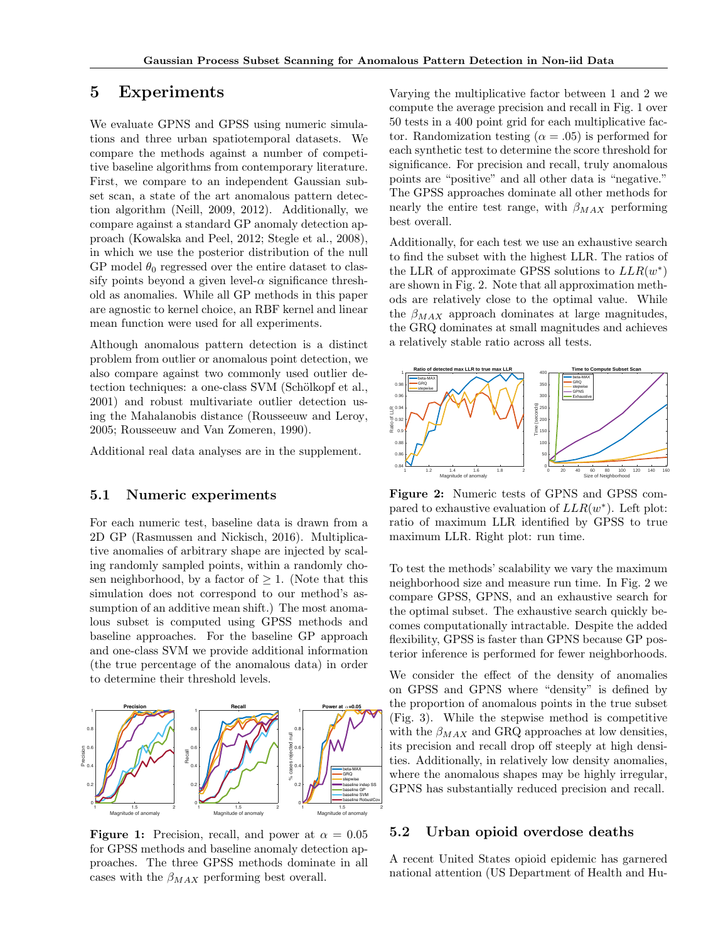# 5 Experiments

We evaluate GPNS and GPSS using numeric simulations and three urban spatiotemporal datasets. We compare the methods against a number of competitive baseline algorithms from contemporary literature. First, we compare to an independent Gaussian subset scan, a state of the art anomalous pattern detection algorithm (Neill, 2009, 2012). Additionally, we compare against a standard GP anomaly detection approach (Kowalska and Peel, 2012; Stegle et al., 2008), in which we use the posterior distribution of the null GP model  $\theta_0$  regressed over the entire dataset to classify points beyond a given level- $\alpha$  significance threshold as anomalies. While all GP methods in this paper are agnostic to kernel choice, an RBF kernel and linear mean function were used for all experiments.

Although anomalous pattern detection is a distinct problem from outlier or anomalous point detection, we also compare against two commonly used outlier detection techniques: a one-class SVM (Schölkopf et al., 2001) and robust multivariate outlier detection using the Mahalanobis distance (Rousseeuw and Leroy, 2005; Rousseeuw and Van Zomeren, 1990).

Additional real data analyses are in the supplement.

## 5.1 Numeric experiments

For each numeric test, baseline data is drawn from a 2D GP (Rasmussen and Nickisch, 2016). Multiplicative anomalies of arbitrary shape are injected by scaling randomly sampled points, within a randomly chosen neighborhood, by a factor of  $\geq 1$ . (Note that this simulation does not correspond to our method's assumption of an additive mean shift.) The most anomalous subset is computed using GPSS methods and baseline approaches. For the baseline GP approach and one-class SVM we provide additional information (the true percentage of the anomalous data) in order to determine their threshold levels.



**Figure 1:** Precision, recall, and power at  $\alpha = 0.05$ for GPSS methods and baseline anomaly detection approaches. The three GPSS methods dominate in all cases with the  $\beta_{MAX}$  performing best overall.

Varying the multiplicative factor between 1 and 2 we compute the average precision and recall in Fig. 1 over 50 tests in a 400 point grid for each multiplicative factor. Randomization testing ( $\alpha = .05$ ) is performed for each synthetic test to determine the score threshold for significance. For precision and recall, truly anomalous points are "positive" and all other data is "negative." The GPSS approaches dominate all other methods for nearly the entire test range, with  $\beta_{MAX}$  performing best overall.

Additionally, for each test we use an exhaustive search to find the subset with the highest LLR. The ratios of the LLR of approximate GPSS solutions to  $LLR(w^*)$ are shown in Fig. 2. Note that all approximation methods are relatively close to the optimal value. While the  $\beta_{MAX}$  approach dominates at large magnitudes, the GRQ dominates at small magnitudes and achieves a relatively stable ratio across all tests.



Figure 2: Numeric tests of GPNS and GPSS compared to exhaustive evaluation of  $LLR(w^*)$ . Left plot: ratio of maximum LLR identified by GPSS to true maximum LLR. Right plot: run time.

To test the methods' scalability we vary the maximum neighborhood size and measure run time. In Fig. 2 we compare GPSS, GPNS, and an exhaustive search for the optimal subset. The exhaustive search quickly becomes computationally intractable. Despite the added flexibility, GPSS is faster than GPNS because GP posterior inference is performed for fewer neighborhoods.

We consider the effect of the density of anomalies on GPSS and GPNS where "density" is defined by the proportion of anomalous points in the true subset (Fig. 3). While the stepwise method is competitive with the  $\beta_{MAX}$  and GRQ approaches at low densities, its precision and recall drop off steeply at high densities. Additionally, in relatively low density anomalies, where the anomalous shapes may be highly irregular, GPNS has substantially reduced precision and recall.

## 5.2 Urban opioid overdose deaths

A recent United States opioid epidemic has garnered national attention (US Department of Health and Hu-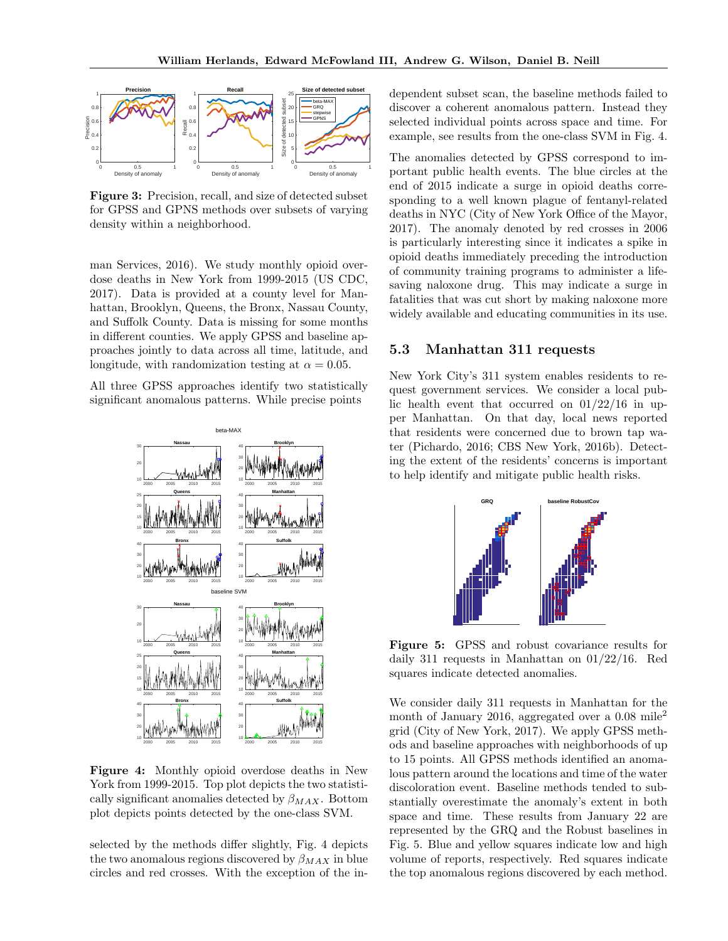

Figure 3: Precision, recall, and size of detected subset for GPSS and GPNS methods over subsets of varying density within a neighborhood.

man Services, 2016). We study monthly opioid overdose deaths in New York from 1999-2015 (US CDC, 2017). Data is provided at a county level for Manhattan, Brooklyn, Queens, the Bronx, Nassau County, and Suffolk County. Data is missing for some months in different counties. We apply GPSS and baseline approaches jointly to data across all time, latitude, and longitude, with randomization testing at  $\alpha = 0.05$ .

All three GPSS approaches identify two statistically significant anomalous patterns. While precise points



Figure 4: Monthly opioid overdose deaths in New York from 1999-2015. Top plot depicts the two statistically significant anomalies detected by  $\beta_{MAX}$ . Bottom plot depicts points detected by the one-class SVM.

selected by the methods differ slightly, Fig. 4 depicts the two anomalous regions discovered by  $\beta_{MAX}$  in blue circles and red crosses. With the exception of the independent subset scan, the baseline methods failed to discover a coherent anomalous pattern. Instead they selected individual points across space and time. For example, see results from the one-class SVM in Fig. 4.

The anomalies detected by GPSS correspond to important public health events. The blue circles at the end of 2015 indicate a surge in opioid deaths corresponding to a well known plague of fentanyl-related deaths in NYC (City of New York Office of the Mayor, 2017). The anomaly denoted by red crosses in 2006 is particularly interesting since it indicates a spike in opioid deaths immediately preceding the introduction of community training programs to administer a lifesaving naloxone drug. This may indicate a surge in fatalities that was cut short by making naloxone more widely available and educating communities in its use.

### 5.3 Manhattan 311 requests

New York City's 311 system enables residents to request government services. We consider a local public health event that occurred on  $01/22/16$  in upper Manhattan. On that day, local news reported that residents were concerned due to brown tap water (Pichardo, 2016; CBS New York, 2016b). Detecting the extent of the residents' concerns is important to help identify and mitigate public health risks.



Figure 5: GPSS and robust covariance results for daily 311 requests in Manhattan on 01/22/16. Red squares indicate detected anomalies.

We consider daily 311 requests in Manhattan for the month of January 2016, aggregated over a 0.08 mile<sup>2</sup> grid (City of New York, 2017). We apply GPSS methods and baseline approaches with neighborhoods of up to 15 points. All GPSS methods identified an anomalous pattern around the locations and time of the water discoloration event. Baseline methods tended to substantially overestimate the anomaly's extent in both space and time. These results from January 22 are represented by the GRQ and the Robust baselines in Fig. 5. Blue and yellow squares indicate low and high volume of reports, respectively. Red squares indicate the top anomalous regions discovered by each method.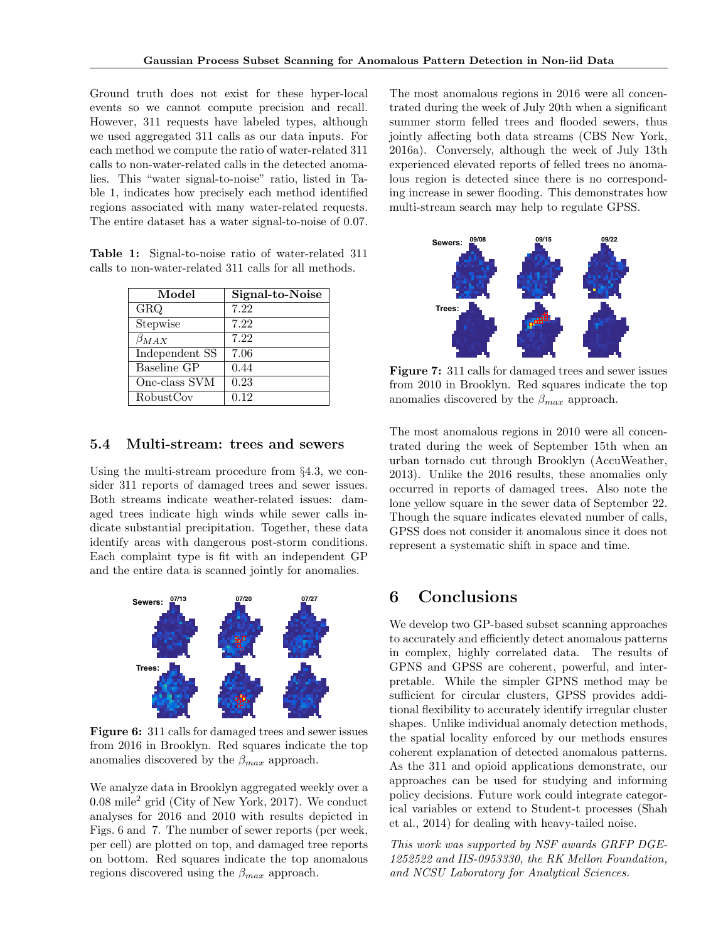Ground truth does not exist for these hyper-local events so we cannot compute precision and recall. However, 311 requests have labeled types, although we used aggregated 311 calls as our data inputs. For each method we compute the ratio of water-related 311 calls to non-water-related calls in the detected anomalies. This "water signal-to-noise" ratio, listed in Table 1, indicates how precisely each method identified regions associated with many water-related requests. The entire dataset has a water signal-to-noise of 0.07.

Table 1: Signal-to-noise ratio of water-related 311 calls to non-water-related 311 calls for all methods.

| Model          | Signal-to-Noise |
|----------------|-----------------|
| GRQ            | 7.22            |
| Stepwise       | 7.22            |
| $\beta_{MAX}$  | 7.22            |
| Independent SS | 7.06            |
| Baseline GP    | 0.44            |
| One-class SVM  | 0.23            |
| RobustCov      | 0.12            |

## 5.4 Multi-stream: trees and sewers

Using the multi-stream procedure from §4.3, we consider 311 reports of damaged trees and sewer issues. Both streams indicate weather-related issues: damaged trees indicate high winds while sewer calls indicate substantial precipitation. Together, these data identify areas with dangerous post-storm conditions. Each complaint type is fit with an independent GP and the entire data is scanned jointly for anomalies.



Figure 6: 311 calls for damaged trees and sewer issues from 2016 in Brooklyn. Red squares indicate the top anomalies discovered by the  $\beta_{max}$  approach.

We analyze data in Brooklyn aggregated weekly over a  $0.08 \text{ mile}^2$  grid (City of New York, 2017). We conduct analyses for 2016 and 2010 with results depicted in Figs. 6 and 7. The number of sewer reports (per week, per cell) are plotted on top, and damaged tree reports on bottom. Red squares indicate the top anomalous regions discovered using the  $\beta_{max}$  approach.

The most anomalous regions in 2016 were all concentrated during the week of July 20th when a significant summer storm felled trees and flooded sewers, thus jointly affecting both data streams (CBS New York, 2016a). Conversely, although the week of July 13th experienced elevated reports of felled trees no anomalous region is detected since there is no corresponding increase in sewer flooding. This demonstrates how multi-stream search may help to regulate GPSS.



Figure 7: 311 calls for damaged trees and sewer issues from 2010 in Brooklyn. Red squares indicate the top anomalies discovered by the  $\beta_{max}$  approach.

The most anomalous regions in 2010 were all concentrated during the week of September 15th when an urban tornado cut through Brooklyn (AccuWeather, 2013). Unlike the 2016 results, these anomalies only occurred in reports of damaged trees. Also note the lone yellow square in the sewer data of September 22. Though the square indicates elevated number of calls, GPSS does not consider it anomalous since it does not represent a systematic shift in space and time.

# 6 Conclusions

We develop two GP-based subset scanning approaches to accurately and efficiently detect anomalous patterns in complex, highly correlated data. The results of GPNS and GPSS are coherent, powerful, and interpretable. While the simpler GPNS method may be sufficient for circular clusters, GPSS provides additional flexibility to accurately identify irregular cluster shapes. Unlike individual anomaly detection methods, the spatial locality enforced by our methods ensures coherent explanation of detected anomalous patterns. As the 311 and opioid applications demonstrate, our approaches can be used for studying and informing policy decisions. Future work could integrate categorical variables or extend to Student-t processes (Shah et al., 2014) for dealing with heavy-tailed noise.

This work was supported by NSF awards GRFP DGE-1252522 and IIS-0953330, the RK Mellon Foundation, and NCSU Laboratory for Analytical Sciences.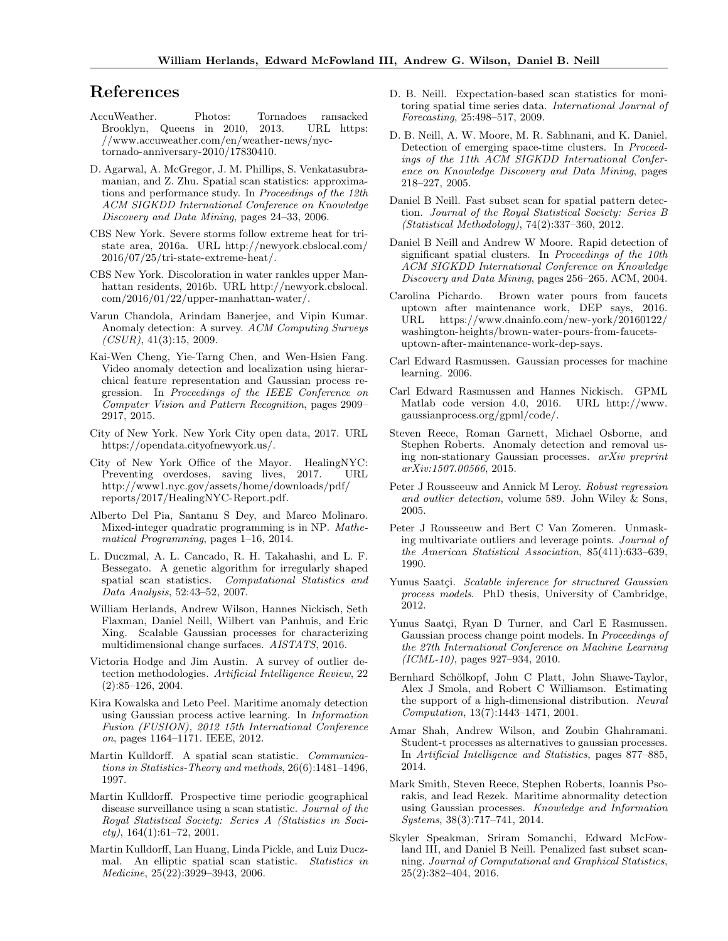# References

- AccuWeather. Photos: Tornadoes ransacked Brooklyn, Queens in 2010, 2013. URL https: //www.accuweather.com/en/weather-news/nyctornado-anniversary-2010/17830410.
- D. Agarwal, A. McGregor, J. M. Phillips, S. Venkatasubramanian, and Z. Zhu. Spatial scan statistics: approximations and performance study. In Proceedings of the 12th ACM SIGKDD International Conference on Knowledge Discovery and Data Mining, pages 24–33, 2006.
- CBS New York. Severe storms follow extreme heat for tristate area, 2016a. URL http://newyork.cbslocal.com/ 2016/07/25/tri-state-extreme-heat/.
- CBS New York. Discoloration in water rankles upper Manhattan residents, 2016b. URL http://newyork.cbslocal. com/2016/01/22/upper-manhattan-water/.
- Varun Chandola, Arindam Banerjee, and Vipin Kumar. Anomaly detection: A survey. ACM Computing Surveys  $(CSUR), 41(3):15, 2009.$
- Kai-Wen Cheng, Yie-Tarng Chen, and Wen-Hsien Fang. Video anomaly detection and localization using hierarchical feature representation and Gaussian process regression. In Proceedings of the IEEE Conference on Computer Vision and Pattern Recognition, pages 2909– 2917, 2015.
- City of New York. New York City open data, 2017. URL https://opendata.cityofnewyork.us/.
- City of New York Office of the Mayor. HealingNYC: Preventing overdoses, saving lives, 2017. URL http://www1.nyc.gov/assets/home/downloads/pdf/ reports/2017/HealingNYC-Report.pdf.
- Alberto Del Pia, Santanu S Dey, and Marco Molinaro. Mixed-integer quadratic programming is in NP. Mathematical Programming, pages 1–16, 2014.
- L. Duczmal, A. L. Cancado, R. H. Takahashi, and L. F. Bessegato. A genetic algorithm for irregularly shaped spatial scan statistics. Computational Statistics and Data Analysis, 52:43–52, 2007.
- William Herlands, Andrew Wilson, Hannes Nickisch, Seth Flaxman, Daniel Neill, Wilbert van Panhuis, and Eric Xing. Scalable Gaussian processes for characterizing multidimensional change surfaces. AISTATS, 2016.
- Victoria Hodge and Jim Austin. A survey of outlier detection methodologies. Artificial Intelligence Review, 22 (2):85–126, 2004.
- Kira Kowalska and Leto Peel. Maritime anomaly detection using Gaussian process active learning. In Information Fusion (FUSION), 2012 15th International Conference on, pages 1164–1171. IEEE, 2012.
- Martin Kulldorff. A spatial scan statistic. Communications in Statistics-Theory and methods, 26(6):1481–1496, 1997.
- Martin Kulldorff. Prospective time periodic geographical disease surveillance using a scan statistic. Journal of the Royal Statistical Society: Series A (Statistics in Soci $ety$ ), 164(1):61–72, 2001.
- Martin Kulldorff, Lan Huang, Linda Pickle, and Luiz Duczmal. An elliptic spatial scan statistic. Statistics in Medicine, 25(22):3929–3943, 2006.
- D. B. Neill. Expectation-based scan statistics for monitoring spatial time series data. International Journal of Forecasting, 25:498–517, 2009.
- D. B. Neill, A. W. Moore, M. R. Sabhnani, and K. Daniel. Detection of emerging space-time clusters. In Proceedings of the 11th ACM SIGKDD International Conference on Knowledge Discovery and Data Mining, pages 218–227, 2005.
- Daniel B Neill. Fast subset scan for spatial pattern detection. Journal of the Royal Statistical Society: Series B (Statistical Methodology), 74(2):337–360, 2012.
- Daniel B Neill and Andrew W Moore. Rapid detection of significant spatial clusters. In Proceedings of the 10th ACM SIGKDD International Conference on Knowledge Discovery and Data Mining, pages 256–265. ACM, 2004.
- Carolina Pichardo. Brown water pours from faucets uptown after maintenance work, DEP says, 2016. URL https://www.dnainfo.com/new-york/20160122/ washington-heights/brown-water-pours-from-faucetsuptown-after-maintenance-work-dep-says.
- Carl Edward Rasmussen. Gaussian processes for machine learning. 2006.
- Carl Edward Rasmussen and Hannes Nickisch. GPML Matlab code version 4.0, 2016. URL http://www. gaussianprocess.org/gpml/code/.
- Steven Reece, Roman Garnett, Michael Osborne, and Stephen Roberts. Anomaly detection and removal using non-stationary Gaussian processes. arXiv preprint arXiv:1507.00566, 2015.
- Peter J Rousseeuw and Annick M Leroy. Robust regression and outlier detection, volume 589. John Wiley & Sons, 2005.
- Peter J Rousseeuw and Bert C Van Zomeren. Unmasking multivariate outliers and leverage points. Journal of the American Statistical Association, 85(411):633–639, 1990.
- Yunus Saatçi. Scalable inference for structured Gaussian process models. PhD thesis, University of Cambridge, 2012.
- Yunus Saatçi, Ryan D Turner, and Carl E Rasmussen. Gaussian process change point models. In Proceedings of the 27th International Conference on Machine Learning (ICML-10), pages 927–934, 2010.
- Bernhard Schölkopf, John C Platt, John Shawe-Taylor, Alex J Smola, and Robert C Williamson. Estimating the support of a high-dimensional distribution. Neural Computation, 13(7):1443–1471, 2001.
- Amar Shah, Andrew Wilson, and Zoubin Ghahramani. Student-t processes as alternatives to gaussian processes. In Artificial Intelligence and Statistics, pages 877–885, 2014.
- Mark Smith, Steven Reece, Stephen Roberts, Ioannis Psorakis, and Iead Rezek. Maritime abnormality detection using Gaussian processes. Knowledge and Information Systems, 38(3):717–741, 2014.
- Skyler Speakman, Sriram Somanchi, Edward McFowland III, and Daniel B Neill. Penalized fast subset scanning. Journal of Computational and Graphical Statistics, 25(2):382–404, 2016.